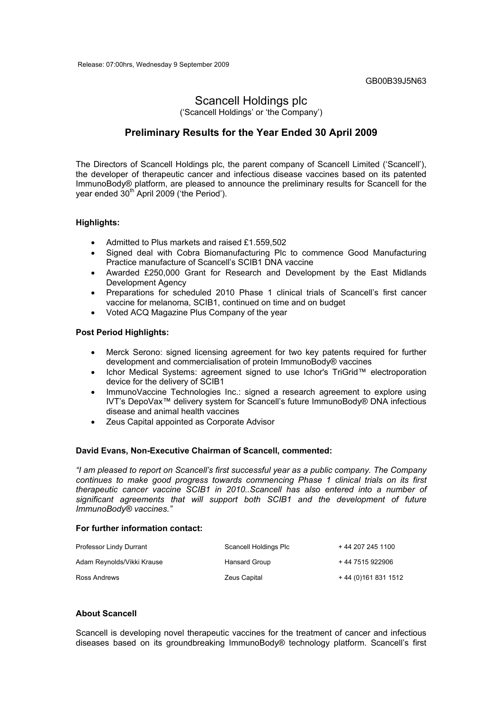GB00B39J5N63

# Scancell Holdings plc

('Scancell Holdings' or 'the Company')

## **Preliminary Results for the Year Ended 30 April 2009**

The Directors of Scancell Holdings plc, the parent company of Scancell Limited ('Scancell'), the developer of therapeutic cancer and infectious disease vaccines based on its patented ImmunoBody® platform, are pleased to announce the preliminary results for Scancell for the vear ended 30<sup>th</sup> April 2009 ('the Period').

#### **Highlights:**

- Admitted to Plus markets and raised £1.559,502
- Signed deal with Cobra Biomanufacturing Plc to commence Good Manufacturing Practice manufacture of Scancell's SCIB1 DNA vaccine
- Awarded £250,000 Grant for Research and Development by the East Midlands Development Agency
- Preparations for scheduled 2010 Phase 1 clinical trials of Scancell's first cancer vaccine for melanoma, SCIB1, continued on time and on budget
- Voted ACQ Magazine Plus Company of the year

#### **Post Period Highlights:**

- Merck Serono: signed licensing agreement for two key patents required for further development and commercialisation of protein ImmunoBody® vaccines
- Ichor Medical Systems: agreement signed to use Ichor's TriGrid™ electroporation device for the delivery of SCIB1
- ImmunoVaccine Technologies Inc.: signed a research agreement to explore using IVT's DepoVax™ delivery system for Scancell's future ImmunoBody® DNA infectious disease and animal health vaccines
- Zeus Capital appointed as Corporate Advisor

#### **David Evans, Non-Executive Chairman of Scancell, commented:**

*"I am pleased to report on Scancell's first successful year as a public company. The Company continues to make good progress towards commencing Phase 1 clinical trials on its first therapeutic cancer vaccine SCIB1 in 2010..Scancell has also entered into a number of significant agreements that will support both SCIB1 and the development of future ImmunoBody® vaccines."* 

#### **For further information contact:**

| Professor Lindy Durrant    | Scancell Holdings Plc | + 44 207 245 1100    |
|----------------------------|-----------------------|----------------------|
| Adam Reynolds/Vikki Krause | Hansard Group         | +44 7515 922906      |
| Ross Andrews               | Zeus Capital          | + 44 (0)161 831 1512 |

#### **About Scancell**

Scancell is developing novel therapeutic vaccines for the treatment of cancer and infectious diseases based on its groundbreaking ImmunoBody® technology platform. Scancell's first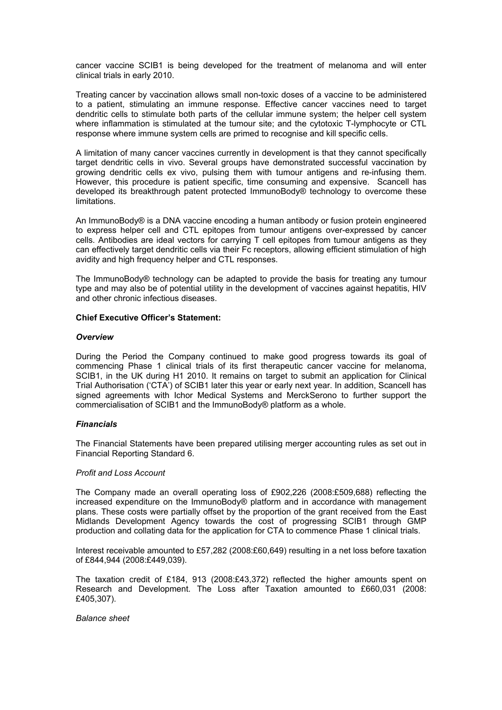cancer vaccine SCIB1 is being developed for the treatment of melanoma and will enter clinical trials in early 2010.

Treating cancer by vaccination allows small non-toxic doses of a vaccine to be administered to a patient, stimulating an immune response. Effective cancer vaccines need to target dendritic cells to stimulate both parts of the cellular immune system; the helper cell system where inflammation is stimulated at the tumour site; and the cytotoxic T-lymphocyte or CTL response where immune system cells are primed to recognise and kill specific cells.

A limitation of many cancer vaccines currently in development is that they cannot specifically target dendritic cells in vivo. Several groups have demonstrated successful vaccination by growing dendritic cells ex vivo, pulsing them with tumour antigens and re-infusing them. However, this procedure is patient specific, time consuming and expensive. Scancell has developed its breakthrough patent protected ImmunoBody® technology to overcome these limitations.

An ImmunoBody® is a DNA vaccine encoding a human antibody or fusion protein engineered to express helper cell and CTL epitopes from tumour antigens over-expressed by cancer cells. Antibodies are ideal vectors for carrying T cell epitopes from tumour antigens as they can effectively target dendritic cells via their Fc receptors, allowing efficient stimulation of high avidity and high frequency helper and CTL responses.

The ImmunoBody® technology can be adapted to provide the basis for treating any tumour type and may also be of potential utility in the development of vaccines against hepatitis, HIV and other chronic infectious diseases.

#### **Chief Executive Officer's Statement:**

#### *Overview*

During the Period the Company continued to make good progress towards its goal of commencing Phase 1 clinical trials of its first therapeutic cancer vaccine for melanoma, SCIB1, in the UK during H1 2010. It remains on target to submit an application for Clinical Trial Authorisation ('CTA') of SCIB1 later this year or early next year. In addition, Scancell has signed agreements with Ichor Medical Systems and MerckSerono to further support the commercialisation of SCIB1 and the ImmunoBody® platform as a whole.

#### *Financials*

The Financial Statements have been prepared utilising merger accounting rules as set out in Financial Reporting Standard 6.

#### *Profit and Loss Account*

The Company made an overall operating loss of £902,226 (2008:£509,688) reflecting the increased expenditure on the ImmunoBody® platform and in accordance with management plans. These costs were partially offset by the proportion of the grant received from the East Midlands Development Agency towards the cost of progressing SCIB1 through GMP production and collating data for the application for CTA to commence Phase 1 clinical trials.

Interest receivable amounted to £57,282 (2008:£60,649) resulting in a net loss before taxation of £844,944 (2008:£449,039).

The taxation credit of £184, 913 (2008:£43,372) reflected the higher amounts spent on Research and Development. The Loss after Taxation amounted to £660,031 (2008: £405,307).

*Balance sheet*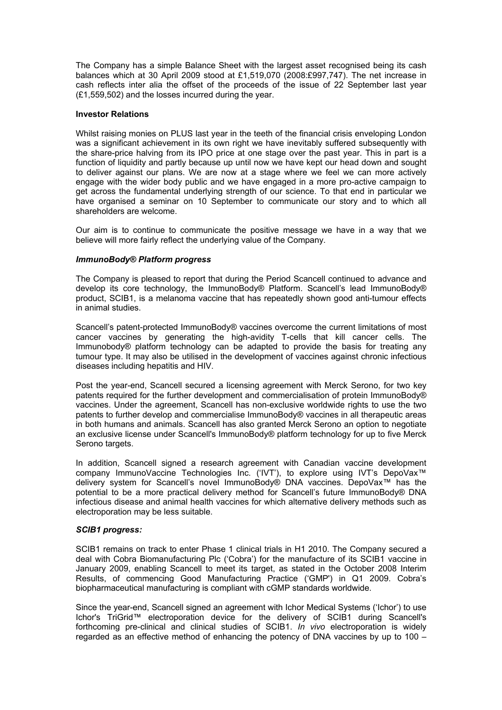The Company has a simple Balance Sheet with the largest asset recognised being its cash balances which at 30 April 2009 stood at £1,519,070 (2008:£997,747). The net increase in cash reflects inter alia the offset of the proceeds of the issue of 22 September last year (£1,559,502) and the losses incurred during the year.

#### **Investor Relations**

Whilst raising monies on PLUS last year in the teeth of the financial crisis enveloping London was a significant achievement in its own right we have inevitably suffered subsequently with the share-price halving from its IPO price at one stage over the past year. This in part is a function of liquidity and partly because up until now we have kept our head down and sought to deliver against our plans. We are now at a stage where we feel we can more actively engage with the wider body public and we have engaged in a more pro-active campaign to get across the fundamental underlying strength of our science. To that end in particular we have organised a seminar on 10 September to communicate our story and to which all shareholders are welcome.

Our aim is to continue to communicate the positive message we have in a way that we believe will more fairly reflect the underlying value of the Company.

#### *ImmunoBody® Platform progress*

The Company is pleased to report that during the Period Scancell continued to advance and develop its core technology, the ImmunoBody® Platform. Scancell's lead ImmunoBody® product, SCIB1, is a melanoma vaccine that has repeatedly shown good anti-tumour effects in animal studies.

Scancell's patent-protected ImmunoBody® vaccines overcome the current limitations of most cancer vaccines by generating the high-avidity T-cells that kill cancer cells. The Immunobody® platform technology can be adapted to provide the basis for treating any tumour type. It may also be utilised in the development of vaccines against chronic infectious diseases including hepatitis and HIV.

Post the year-end, Scancell secured a licensing agreement with Merck Serono, for two key patents required for the further development and commercialisation of protein ImmunoBody® vaccines. Under the agreement, Scancell has non-exclusive worldwide rights to use the two patents to further develop and commercialise ImmunoBody® vaccines in all therapeutic areas in both humans and animals. Scancell has also granted Merck Serono an option to negotiate an exclusive license under Scancell's ImmunoBody® platform technology for up to five Merck Serono targets.

In addition, Scancell signed a research agreement with Canadian vaccine development company ImmunoVaccine Technologies Inc. ('IVT'), to explore using IVT's DepoVax™ delivery system for Scancell's novel ImmunoBody® DNA vaccines. DepoVax™ has the potential to be a more practical delivery method for Scancell's future ImmunoBody® DNA infectious disease and animal health vaccines for which alternative delivery methods such as electroporation may be less suitable.

#### *SCIB1 progress:*

SCIB1 remains on track to enter Phase 1 clinical trials in H1 2010. The Company secured a deal with Cobra Biomanufacturing Plc ('Cobra') for the manufacture of its SCIB1 vaccine in January 2009, enabling Scancell to meet its target, as stated in the October 2008 Interim Results, of commencing Good Manufacturing Practice ('GMP') in Q1 2009. Cobra's biopharmaceutical manufacturing is compliant with cGMP standards worldwide.

Since the year-end, Scancell signed an agreement with Ichor Medical Systems ('Ichor') to use Ichor's TriGrid™ electroporation device for the delivery of SCIB1 during Scancell's forthcoming pre-clinical and clinical studies of SCIB1. *In vivo* electroporation is widely regarded as an effective method of enhancing the potency of DNA vaccines by up to 100 –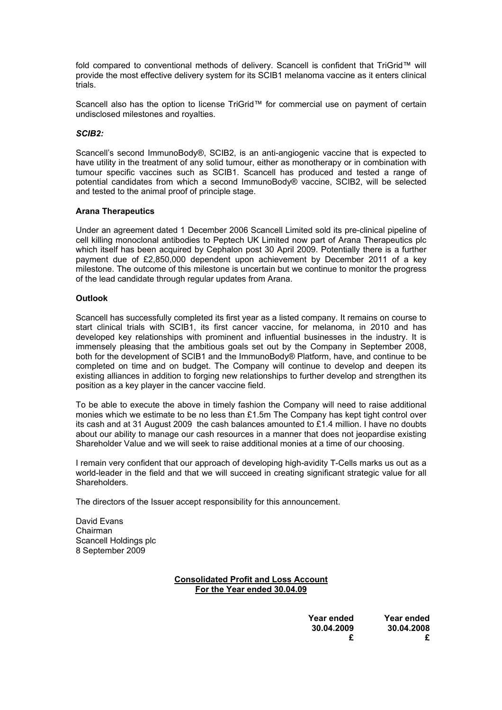fold compared to conventional methods of delivery. Scancell is confident that TriGrid™ will provide the most effective delivery system for its SCIB1 melanoma vaccine as it enters clinical trials.

Scancell also has the option to license TriGrid™ for commercial use on payment of certain undisclosed milestones and royalties.

#### *SCIB2:*

Scancell's second ImmunoBody®, SCIB2, is an anti-angiogenic vaccine that is expected to have utility in the treatment of any solid tumour, either as monotherapy or in combination with tumour specific vaccines such as SCIB1. Scancell has produced and tested a range of potential candidates from which a second ImmunoBody® vaccine, SCIB2, will be selected and tested to the animal proof of principle stage.

#### **Arana Therapeutics**

Under an agreement dated 1 December 2006 Scancell Limited sold its pre-clinical pipeline of cell killing monoclonal antibodies to Peptech UK Limited now part of Arana Therapeutics plc which itself has been acquired by Cephalon post 30 April 2009. Potentially there is a further payment due of £2,850,000 dependent upon achievement by December 2011 of a key milestone. The outcome of this milestone is uncertain but we continue to monitor the progress of the lead candidate through regular updates from Arana.

#### **Outlook**

Scancell has successfully completed its first year as a listed company. It remains on course to start clinical trials with SCIB1, its first cancer vaccine, for melanoma, in 2010 and has developed key relationships with prominent and influential businesses in the industry. It is immensely pleasing that the ambitious goals set out by the Company in September 2008, both for the development of SCIB1 and the ImmunoBody® Platform, have, and continue to be completed on time and on budget. The Company will continue to develop and deepen its existing alliances in addition to forging new relationships to further develop and strengthen its position as a key player in the cancer vaccine field.

To be able to execute the above in timely fashion the Company will need to raise additional monies which we estimate to be no less than £1.5m The Company has kept tight control over its cash and at 31 August 2009 the cash balances amounted to £1.4 million. I have no doubts about our ability to manage our cash resources in a manner that does not jeopardise existing Shareholder Value and we will seek to raise additional monies at a time of our choosing.

I remain very confident that our approach of developing high-avidity T-Cells marks us out as a world-leader in the field and that we will succeed in creating significant strategic value for all Shareholders.

The directors of the Issuer accept responsibility for this announcement.

David Evans Chairman Scancell Holdings plc 8 September 2009

### **Consolidated Profit and Loss Account For the Year ended 30.04.09**

| Year ended | <b>Year ended</b> |  |
|------------|-------------------|--|
| 30.04.2008 | 30.04.2009        |  |
|            |                   |  |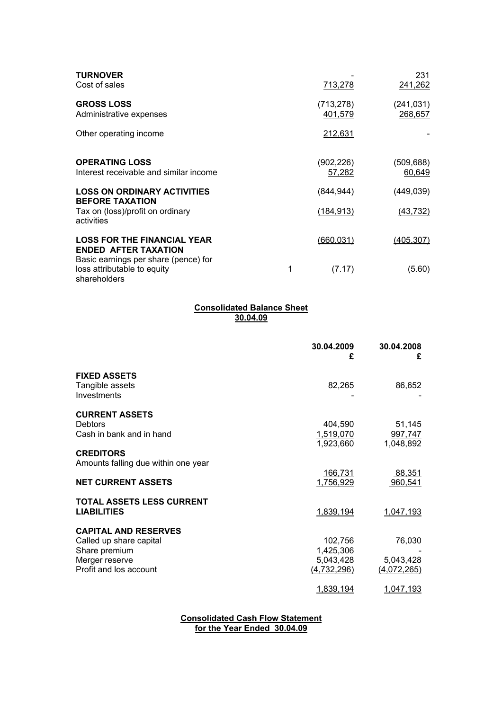| <b>TURNOVER</b><br>Cost of sales                                                    |   | 713,278              | 231<br>241,262        |
|-------------------------------------------------------------------------------------|---|----------------------|-----------------------|
| <b>GROSS LOSS</b><br>Administrative expenses                                        |   | (713,278)<br>401,579 | (241, 031)<br>268,657 |
| Other operating income                                                              |   | 212,631              |                       |
| <b>OPERATING LOSS</b><br>Interest receivable and similar income                     |   | (902,226)<br>57,282  | (509,688)<br>60,649   |
| <b>LOSS ON ORDINARY ACTIVITIES</b><br><b>BEFORE TAXATION</b>                        |   | (844,944)            | (449,039)             |
| Tax on (loss)/profit on ordinary<br>activities                                      |   | (184, 913)           | (43, 732)             |
| <b>LOSS FOR THE FINANCIAL YEAR</b><br><b>ENDED AFTER TAXATION</b>                   |   | (660, 031)           | (405, 307)            |
| Basic earnings per share (pence) for<br>loss attributable to equity<br>shareholders | 1 | (7.17)               | (5.60)                |

#### **Consolidated Balance Sheet 30.04.09**

|                                     | 30.04.2009<br>£  | 30.04.2008<br>£ |
|-------------------------------------|------------------|-----------------|
| <b>FIXED ASSETS</b>                 |                  |                 |
| Tangible assets                     | 82,265           | 86,652          |
| Investments                         |                  |                 |
| <b>CURRENT ASSETS</b>               |                  |                 |
| Debtors                             | 404,590          | 51,145          |
| Cash in bank and in hand            | <u>1,519,070</u> | 997,747         |
|                                     | 1,923,660        | 1,048,892       |
| <b>CREDITORS</b>                    |                  |                 |
| Amounts falling due within one year |                  |                 |
|                                     | <u>166,731</u>   | 88,351          |
| <b>NET CURRENT ASSETS</b>           | 1,756,929        | 960,541         |
| <b>TOTAL ASSETS LESS CURRENT</b>    |                  |                 |
| <b>LIABILITIES</b>                  | 1,839,194        | 1,047,193       |
| <b>CAPITAL AND RESERVES</b>         |                  |                 |
| Called up share capital             | 102,756          | 76,030          |
| Share premium                       | 1,425,306        |                 |
| Merger reserve                      | 5,043,428        | 5,043,428       |
| Profit and los account              | (4,732,296)      | (4,072,265)     |
|                                     | <u>1,839,194</u> | 1,047,193       |

**Consolidated Cash Flow Statement for the Year Ended 30.04.09**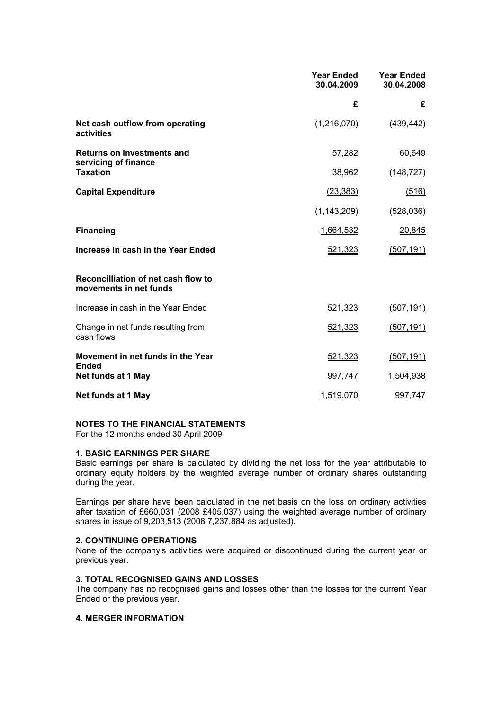|                                                               | <b>Year Ended</b><br>30.04.2009 | <b>Year Ended</b><br>30.04.2008 |
|---------------------------------------------------------------|---------------------------------|---------------------------------|
|                                                               | £                               | £                               |
| Net cash outflow from operating<br>activities                 | (1,216,070)                     | (439, 442)                      |
| <b>Returns on investments and</b><br>servicing of finance     | 57,282                          | 60,649                          |
| <b>Taxation</b>                                               | 38,962                          | (148, 727)                      |
| <b>Capital Expenditure</b>                                    | (23, 383)                       | (516)                           |
|                                                               | (1, 143, 209)                   | (528,036)                       |
| <b>Financing</b>                                              | 1,664,532                       | 20,845                          |
| Increase in cash in the Year Ended                            | 521,323                         | (507, 191)                      |
| Reconcilliation of net cash flow to<br>movements in net funds |                                 |                                 |
| Increase in cash in the Year Ended                            | 521,323                         | (507, 191)                      |
| Change in net funds resulting from<br>cash flows              | 521,323                         | (507, 191)                      |
| Movement in net funds in the Year<br><b>Ended</b>             | 521,323                         | (507, 191)                      |
| Net funds at 1 May                                            | 997,747                         | 1,504,938                       |
| Net funds at 1 May                                            | 1,519,070                       | 997,747                         |

### **NOTES TO THE FINANCIAL STATEMENTS**

For the 12 months ended 30 April 2009

#### **1. BASIC EARNINGS PER SHARE**

Basic earnings per share is calculated by dividing the net loss for the year attributable to ordinary equity holders by the weighted average number of ordinary shares outstanding during the year.

Earnings per share have been calculated in the net basis on the loss on ordinary activities after taxation of £660,031 (2008 £405,037) using the weighted average number of ordinary shares in issue of 9,203,513 (2008 7,237,884 as adjusted).

## **2. CONTINUING OPERATIONS**

None of the company's activities were acquired or discontinued during the current year or previous year.

#### **3. TOTAL RECOGNISED GAINS AND LOSSES**

The company has no recognised gains and losses other than the losses for the current Year Ended or the previous year.

#### **4. MERGER INFORMATION**